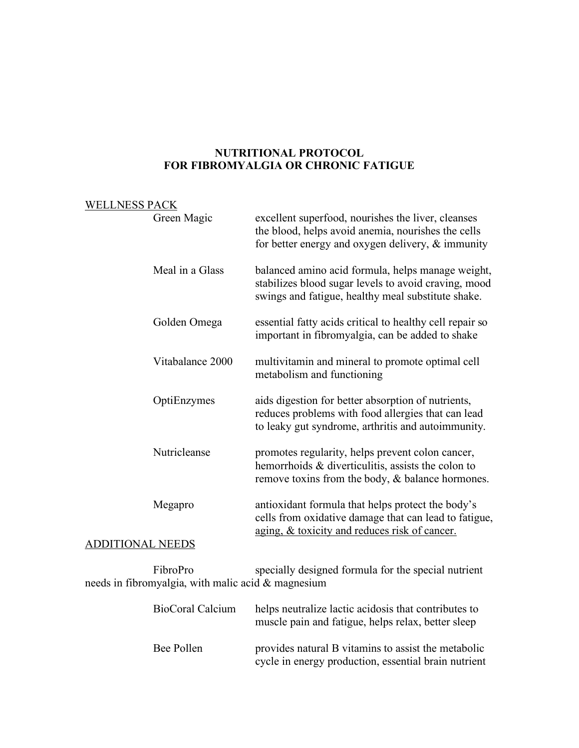## **NUTRITIONAL PROTOCOL FOR FIBROMYALGIA OR CHRONIC FATIGUE**

## WELLNESS PACK

|                         | Green Magic      | excellent superfood, nourishes the liver, cleanses<br>the blood, helps avoid anemia, nourishes the cells<br>for better energy and oxygen delivery, $\&$ immunity |
|-------------------------|------------------|------------------------------------------------------------------------------------------------------------------------------------------------------------------|
|                         | Meal in a Glass  | balanced amino acid formula, helps manage weight,<br>stabilizes blood sugar levels to avoid craving, mood<br>swings and fatigue, healthy meal substitute shake.  |
|                         | Golden Omega     | essential fatty acids critical to healthy cell repair so<br>important in fibromyalgia, can be added to shake                                                     |
|                         | Vitabalance 2000 | multivitamin and mineral to promote optimal cell<br>metabolism and functioning                                                                                   |
|                         | OptiEnzymes      | aids digestion for better absorption of nutrients,<br>reduces problems with food allergies that can lead<br>to leaky gut syndrome, arthritis and autoimmunity.   |
|                         | Nutricleanse     | promotes regularity, helps prevent colon cancer,<br>hemorrhoids & diverticulitis, assists the colon to<br>remove toxins from the body, $\&$ balance hormones.    |
| Megapro                 |                  | antioxidant formula that helps protect the body's<br>cells from oxidative damage that can lead to fatigue,<br>aging, & toxicity and reduces risk of cancer.      |
| <b>ADDITIONAL NEEDS</b> |                  |                                                                                                                                                                  |
|                         |                  |                                                                                                                                                                  |

FibroPro specially designed formula for the special nutrient needs in fibromyalgia, with malic acid & magnesium

| <b>BioCoral Calcium</b> | helps neutralize lactic acidosis that contributes to<br>muscle pain and fatigue, helps relax, better sleep  |
|-------------------------|-------------------------------------------------------------------------------------------------------------|
| Bee Pollen              | provides natural B vitamins to assist the metabolic<br>cycle in energy production, essential brain nutrient |